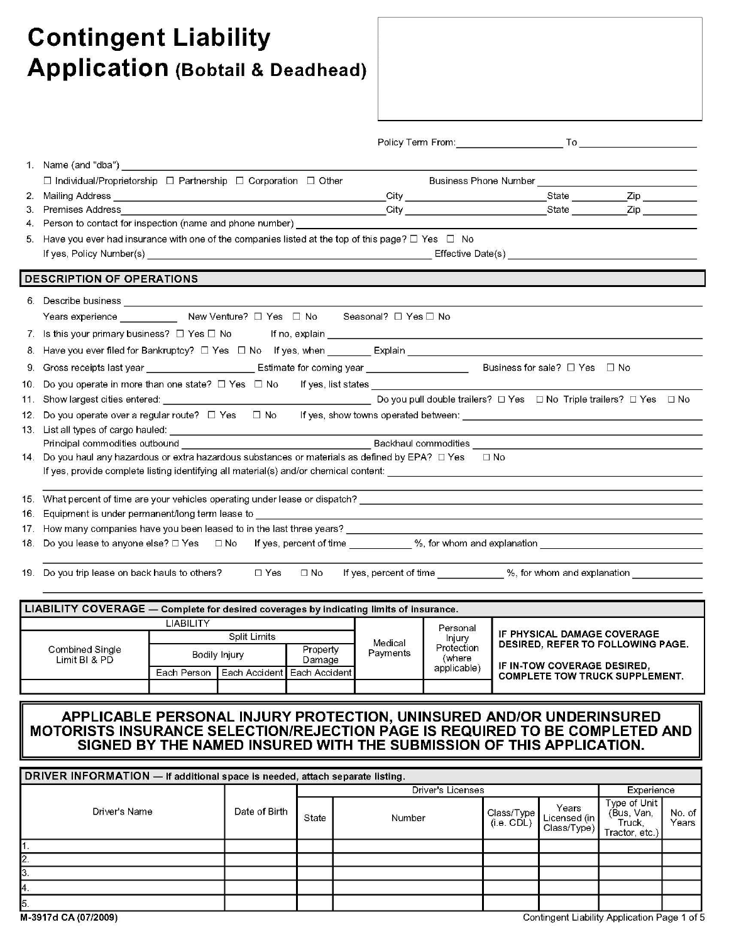# **Contingent Liability Application (Bobtail & Deadhead)**

|     | $\Box$ Individual/Proprietorship $\Box$ Partnership $\Box$ Corporation $\Box$ Other                                                     |                                                                                                                                                                                                                                |                               |       | Business Phone Number [19] [19] Dunner and Dunner and Dunner and Dunner and Dunner and Dunner and Dunner and D |
|-----|-----------------------------------------------------------------------------------------------------------------------------------------|--------------------------------------------------------------------------------------------------------------------------------------------------------------------------------------------------------------------------------|-------------------------------|-------|----------------------------------------------------------------------------------------------------------------|
| 2.  | Mailing Address<br><u> 1989 - Johann Stein, mars an deutscher Stein und der Stein und der Stein und der Stein und der Stein und der</u> |                                                                                                                                                                                                                                |                               | State | $\mathsf{Zip}$                                                                                                 |
| З.  | Premises Address                                                                                                                        |                                                                                                                                                                                                                                |                               | State | $\mathsf{Zip}$                                                                                                 |
| 4.  |                                                                                                                                         |                                                                                                                                                                                                                                |                               |       |                                                                                                                |
| 5.  | Have you ever had insurance with one of the companies listed at the top of this page? $\Box$ Yes $\Box$ No                              |                                                                                                                                                                                                                                |                               |       |                                                                                                                |
|     |                                                                                                                                         |                                                                                                                                                                                                                                |                               |       |                                                                                                                |
|     | <b>DESCRIPTION OF OPERATIONS</b>                                                                                                        |                                                                                                                                                                                                                                |                               |       |                                                                                                                |
| 6.  | Describe business entrance and a series of the series of the series of the series of the series of the series                           |                                                                                                                                                                                                                                |                               |       |                                                                                                                |
|     | Years experience _____________ New Venture? □ Yes □ No                                                                                  | Seasonal? □ Yes □ No                                                                                                                                                                                                           |                               |       |                                                                                                                |
|     |                                                                                                                                         |                                                                                                                                                                                                                                |                               |       |                                                                                                                |
| 8.  |                                                                                                                                         |                                                                                                                                                                                                                                |                               |       |                                                                                                                |
|     | 9. Gross receipts last year _________________________________ Estimate for coming year _______________________                          |                                                                                                                                                                                                                                | Business for sale? $\Box$ Yes |       | $\Box$ No                                                                                                      |
|     | 10. Do you operate in more than one state? □ Yes □ No If yes, list states                                                               |                                                                                                                                                                                                                                |                               |       |                                                                                                                |
| 11. |                                                                                                                                         | Do you pull double trailers? $\Box$ Yes $\Box$ No Triple trailers? $\Box$ Yes                                                                                                                                                  |                               |       | $\Box$ No                                                                                                      |
| 12. | Do you operate over a regular route? $\Box$ Yes $\Box$ No                                                                               | If yes, show towns operated between: The contract of the contract of the contract of the contract of the contract of the contract of the contract of the contract of the contract of the contract of the contract of the contr |                               |       |                                                                                                                |
| 13. | List all types of cargo hauled:                                                                                                         |                                                                                                                                                                                                                                |                               |       |                                                                                                                |
|     |                                                                                                                                         |                                                                                                                                                                                                                                |                               |       |                                                                                                                |
| 14. | Do you haul any hazardous or extra hazardous substances or materials as defined by EPA? □ Yes                                           |                                                                                                                                                                                                                                | $\Box$ No                     |       |                                                                                                                |
|     | If yes, provide complete listing identifying all material(s) and/or chemical content:                                                   | <u> 1980 - Jan Samuel Barbara, martin da shekarar 1980 - An tsaran 1980 - An tsaran 1980 - An tsaran 1980 - An tsa</u>                                                                                                         |                               |       |                                                                                                                |
| 15. |                                                                                                                                         |                                                                                                                                                                                                                                |                               |       |                                                                                                                |
| 16. |                                                                                                                                         |                                                                                                                                                                                                                                |                               |       |                                                                                                                |
| 17. | How many companies have you been leased to in the last three years?                                                                     |                                                                                                                                                                                                                                |                               |       |                                                                                                                |
| 18. | Do you lease to anyone else? □ Yes □ No If yes, percent of time _________ %, for whom and explanation                                   |                                                                                                                                                                                                                                |                               |       |                                                                                                                |
|     |                                                                                                                                         |                                                                                                                                                                                                                                |                               |       |                                                                                                                |

| <b>LIABILITY COVERAGE</b> - Complete for desired coverages by indicating limits of insurance. |  |               |                                             |          |                       |                                          |  |  |  |
|-----------------------------------------------------------------------------------------------|--|---------------|---------------------------------------------|----------|-----------------------|------------------------------------------|--|--|--|
|                                                                                               |  |               |                                             | Personal |                       |                                          |  |  |  |
|                                                                                               |  | Split Limits  |                                             | Medical  | Injury                | IF PHYSICAL DAMAGE COVERAGE              |  |  |  |
| Combined Single                                                                               |  | Bodily Injury | Property                                    | Payments | Protection            | <b>DESIRED, REFER TO FOLLOWING PAGE.</b> |  |  |  |
| Limit BI & PD                                                                                 |  |               | Damage                                      |          | (where<br>applicable) | IF IN-TOW COVERAGE DESIRED.              |  |  |  |
|                                                                                               |  |               | Each Person   Each Accident   Each Accident |          |                       | <b>COMPLETE TOW TRUCK SUPPLEMENT.</b>    |  |  |  |
|                                                                                               |  |               |                                             |          |                       |                                          |  |  |  |
|                                                                                               |  |               |                                             |          |                       |                                          |  |  |  |

# APPLICABLE PERSONAL INJURY PROTECTION, UNINSURED AND/OR UNDERINSURED<br>MOTORISTS INSURANCE SELECTION/REJECTION PAGE IS REQUIRED TO BE COMPLETED AND<br>SIGNED BY THE NAMED INSURED WITH THE SUBMISSION OF THIS APPLICATION.

|               |               |       |        | Driver's Licenses        |                                      |                                                        |                 |  |  |  |
|---------------|---------------|-------|--------|--------------------------|--------------------------------------|--------------------------------------------------------|-----------------|--|--|--|
| Driver's Name | Date of Birth | State | Number | Class/Type<br>(i.e. CDL) | Years<br>Licensed (in<br>Class/Type) | Type of Unit<br>(Bus, Van,<br>Truck,<br>Tractor, etc.) | No. of<br>Years |  |  |  |
|               |               |       |        |                          |                                      |                                                        |                 |  |  |  |
| $\mathbf{2}$  |               |       |        |                          |                                      |                                                        |                 |  |  |  |
| 13.           |               |       |        |                          |                                      |                                                        |                 |  |  |  |
| 14.           |               |       |        |                          |                                      |                                                        |                 |  |  |  |
| 5.            |               |       |        |                          |                                      |                                                        |                 |  |  |  |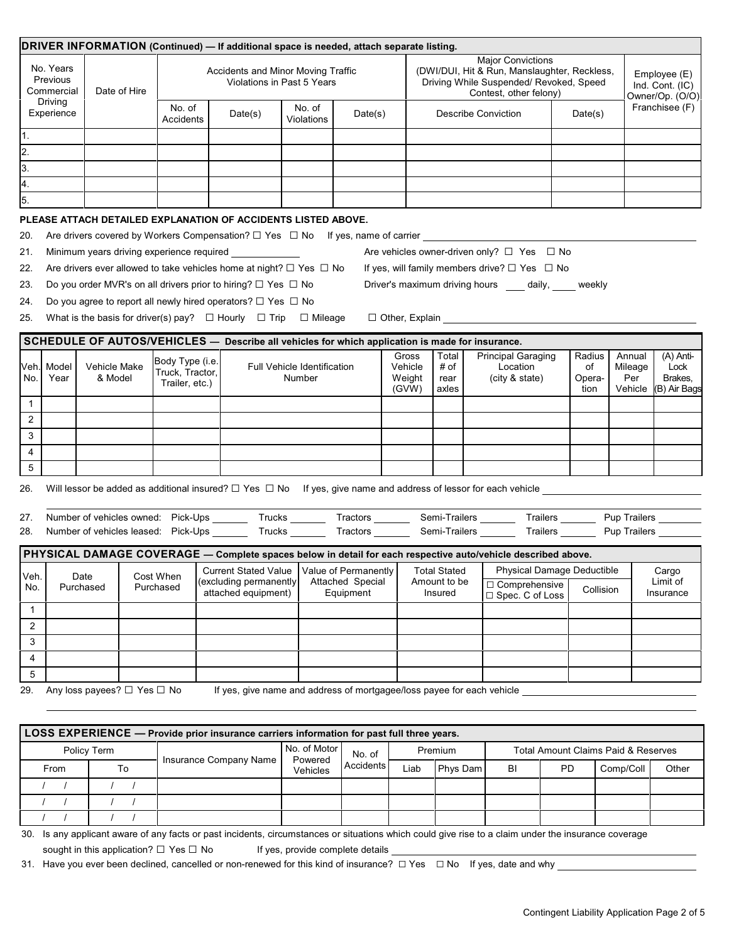| DRIVER INFORMATION (Continued) - If additional space is needed, attach separate listing.     |                                                                                           |                                           |                                                                  |                                                                                                                                                                                                                                                                               |                                              |                                                                                                                       |  |                                                                                                                                               |              |  |                                                                                                                                                                                                                                    |         |                                                |           |                                                    |                 |  |
|----------------------------------------------------------------------------------------------|-------------------------------------------------------------------------------------------|-------------------------------------------|------------------------------------------------------------------|-------------------------------------------------------------------------------------------------------------------------------------------------------------------------------------------------------------------------------------------------------------------------------|----------------------------------------------|-----------------------------------------------------------------------------------------------------------------------|--|-----------------------------------------------------------------------------------------------------------------------------------------------|--------------|--|------------------------------------------------------------------------------------------------------------------------------------------------------------------------------------------------------------------------------------|---------|------------------------------------------------|-----------|----------------------------------------------------|-----------------|--|
| No. Years<br>Previous<br>Commercial                                                          |                                                                                           | Date of Hire                              | Accidents and Minor Moving Traffic<br>Violations in Past 5 Years |                                                                                                                                                                                                                                                                               |                                              |                                                                                                                       |  | <b>Major Convictions</b><br>(DWI/DUI, Hit & Run, Manslaughter, Reckless,<br>Driving While Suspended/ Revoked, Speed<br>Contest, other felony) |              |  |                                                                                                                                                                                                                                    |         |                                                |           | Employee (E)<br>Ind. Cont. (IC)<br>Owner/Op. (O/O) |                 |  |
|                                                                                              | Driving<br>Experience                                                                     |                                           | No. of<br>Accidents                                              | Date(s)                                                                                                                                                                                                                                                                       | No. of<br>Violations                         | Date(s)                                                                                                               |  | <b>Describe Conviction</b>                                                                                                                    |              |  |                                                                                                                                                                                                                                    | Date(s) |                                                |           | Franchisee (F)                                     |                 |  |
| 1.                                                                                           |                                                                                           |                                           |                                                                  |                                                                                                                                                                                                                                                                               |                                              |                                                                                                                       |  |                                                                                                                                               |              |  |                                                                                                                                                                                                                                    |         |                                                |           |                                                    |                 |  |
| $\overline{2}$ .                                                                             |                                                                                           |                                           |                                                                  |                                                                                                                                                                                                                                                                               |                                              |                                                                                                                       |  |                                                                                                                                               |              |  |                                                                                                                                                                                                                                    |         |                                                |           |                                                    |                 |  |
| 3.                                                                                           |                                                                                           |                                           |                                                                  |                                                                                                                                                                                                                                                                               |                                              |                                                                                                                       |  |                                                                                                                                               |              |  |                                                                                                                                                                                                                                    |         |                                                |           |                                                    |                 |  |
| 4.                                                                                           |                                                                                           |                                           |                                                                  |                                                                                                                                                                                                                                                                               |                                              |                                                                                                                       |  |                                                                                                                                               |              |  |                                                                                                                                                                                                                                    |         |                                                |           |                                                    |                 |  |
| 5.                                                                                           |                                                                                           |                                           |                                                                  |                                                                                                                                                                                                                                                                               |                                              |                                                                                                                       |  |                                                                                                                                               |              |  |                                                                                                                                                                                                                                    |         |                                                |           |                                                    |                 |  |
|                                                                                              | PLEASE ATTACH DETAILED EXPLANATION OF ACCIDENTS LISTED ABOVE.                             |                                           |                                                                  |                                                                                                                                                                                                                                                                               |                                              |                                                                                                                       |  |                                                                                                                                               |              |  |                                                                                                                                                                                                                                    |         |                                                |           |                                                    |                 |  |
| 20.                                                                                          | Are drivers covered by Workers Compensation? $\Box$ Yes $\Box$ No If yes, name of carrier |                                           |                                                                  |                                                                                                                                                                                                                                                                               |                                              |                                                                                                                       |  |                                                                                                                                               |              |  |                                                                                                                                                                                                                                    |         |                                                |           |                                                    |                 |  |
| 21.                                                                                          |                                                                                           | Minimum years driving experience required |                                                                  |                                                                                                                                                                                                                                                                               |                                              |                                                                                                                       |  |                                                                                                                                               |              |  | Are vehicles owner-driven only? $\Box$ Yes $\Box$ No                                                                                                                                                                               |         |                                                |           |                                                    |                 |  |
| 22.                                                                                          |                                                                                           |                                           |                                                                  | Are drivers ever allowed to take vehicles home at night? $\Box$ Yes $\Box$ No                                                                                                                                                                                                 |                                              |                                                                                                                       |  |                                                                                                                                               |              |  | If yes, will family members drive? $\Box$ Yes $\Box$ No                                                                                                                                                                            |         |                                                |           |                                                    |                 |  |
| 23.                                                                                          |                                                                                           |                                           |                                                                  | Do you order MVR's on all drivers prior to hiring? $\Box$ Yes $\Box$ No                                                                                                                                                                                                       |                                              |                                                                                                                       |  |                                                                                                                                               |              |  | Driver's maximum driving hours ____ daily, ____ weekly                                                                                                                                                                             |         |                                                |           |                                                    |                 |  |
| 24.                                                                                          |                                                                                           |                                           |                                                                  | Do you agree to report all newly hired operators? $\Box$ Yes $\Box$ No                                                                                                                                                                                                        |                                              |                                                                                                                       |  |                                                                                                                                               |              |  |                                                                                                                                                                                                                                    |         |                                                |           |                                                    |                 |  |
| 25.                                                                                          |                                                                                           |                                           |                                                                  | What is the basis for driver(s) pay? $\Box$ Hourly $\Box$ Trip $\Box$ Mileage                                                                                                                                                                                                 |                                              |                                                                                                                       |  |                                                                                                                                               |              |  | □ Other, Explain <u>Network of the State of</u> Text of Text of Text of Text of Text of Text of Text of Text of Text of Text of Text of Text of Text of Text of Text of Text of Text of Text of Text of Text of Text of Text of Te |         |                                                |           |                                                    |                 |  |
|                                                                                              |                                                                                           |                                           |                                                                  | SCHEDULE OF AUTOS/VEHICLES - Describe all vehicles for which application is made for insurance.                                                                                                                                                                               |                                              |                                                                                                                       |  |                                                                                                                                               |              |  |                                                                                                                                                                                                                                    |         |                                                |           |                                                    |                 |  |
|                                                                                              |                                                                                           |                                           | Body Type (i.e.                                                  |                                                                                                                                                                                                                                                                               |                                              |                                                                                                                       |  | Gross                                                                                                                                         | Total        |  | <b>Principal Garaging</b>                                                                                                                                                                                                          |         | Radius                                         |           | Annual                                             | $(A)$ Anti-     |  |
| No.                                                                                          | Veh. <b> </b> Model<br>Year                                                               | Vehicle Make<br>& Model                   | Truck, Tractor,                                                  |                                                                                                                                                                                                                                                                               | <b>Full Vehicle Identification</b><br>Number |                                                                                                                       |  | Vehicle<br>Weight                                                                                                                             | # of<br>rear |  | Location<br>(city & state)                                                                                                                                                                                                         |         | of<br>Opera-                                   |           | Mileage<br>Per                                     | Lock<br>Brakes, |  |
|                                                                                              |                                                                                           |                                           | Trailer, etc.)                                                   |                                                                                                                                                                                                                                                                               |                                              |                                                                                                                       |  | (GVW)                                                                                                                                         | axles        |  |                                                                                                                                                                                                                                    |         | tion                                           |           | Vehicle                                            | (B) Air Bags    |  |
| $\mathbf{1}$                                                                                 |                                                                                           |                                           |                                                                  |                                                                                                                                                                                                                                                                               |                                              |                                                                                                                       |  |                                                                                                                                               |              |  |                                                                                                                                                                                                                                    |         |                                                |           |                                                    |                 |  |
| 2                                                                                            |                                                                                           |                                           |                                                                  |                                                                                                                                                                                                                                                                               |                                              |                                                                                                                       |  |                                                                                                                                               |              |  |                                                                                                                                                                                                                                    |         |                                                |           |                                                    |                 |  |
| 3                                                                                            |                                                                                           |                                           |                                                                  |                                                                                                                                                                                                                                                                               |                                              |                                                                                                                       |  |                                                                                                                                               |              |  |                                                                                                                                                                                                                                    |         |                                                |           |                                                    |                 |  |
| 4                                                                                            |                                                                                           |                                           |                                                                  |                                                                                                                                                                                                                                                                               |                                              |                                                                                                                       |  |                                                                                                                                               |              |  |                                                                                                                                                                                                                                    |         |                                                |           |                                                    |                 |  |
| 5                                                                                            |                                                                                           |                                           |                                                                  |                                                                                                                                                                                                                                                                               |                                              |                                                                                                                       |  |                                                                                                                                               |              |  |                                                                                                                                                                                                                                    |         |                                                |           |                                                    |                 |  |
| 26.                                                                                          |                                                                                           |                                           |                                                                  | Will lessor be added as additional insured? $\Box$ Yes $\Box$ No If yes, give name and address of lessor for each vehicle $\Box$                                                                                                                                              |                                              |                                                                                                                       |  |                                                                                                                                               |              |  |                                                                                                                                                                                                                                    |         |                                                |           |                                                    |                 |  |
|                                                                                              |                                                                                           |                                           |                                                                  |                                                                                                                                                                                                                                                                               |                                              |                                                                                                                       |  |                                                                                                                                               |              |  |                                                                                                                                                                                                                                    |         |                                                |           |                                                    |                 |  |
| 27.<br>28.                                                                                   |                                                                                           |                                           |                                                                  | Number of vehicles owned: Pick-Ups _______ Trucks _______ Tractors _______ Semi-Trailers _______ Trailers _______ Pup Trailers _______<br>Number of vehicles leased: Pick-Ups _______ Trucks _______ Tractors ______ Semi-Trailers ______ Trailers ______ Pup Trailers ______ |                                              |                                                                                                                       |  |                                                                                                                                               |              |  |                                                                                                                                                                                                                                    |         |                                                |           |                                                    |                 |  |
|                                                                                              |                                                                                           |                                           |                                                                  |                                                                                                                                                                                                                                                                               |                                              |                                                                                                                       |  |                                                                                                                                               |              |  |                                                                                                                                                                                                                                    |         |                                                |           |                                                    |                 |  |
|                                                                                              |                                                                                           |                                           |                                                                  | PHYSICAL DAMAGE COVERAGE - Complete spaces below in detail for each respective auto/vehicle described above.                                                                                                                                                                  |                                              |                                                                                                                       |  |                                                                                                                                               |              |  |                                                                                                                                                                                                                                    |         |                                                |           |                                                    |                 |  |
| Veh.                                                                                         | Date                                                                                      |                                           | Cost When                                                        | (excluding permanently                                                                                                                                                                                                                                                        |                                              | Cost When Current Stated Value   Value of Permanently   Total Stated   Physical Damage Deductible<br>Attached Special |  |                                                                                                                                               | Amount to be |  |                                                                                                                                                                                                                                    |         |                                                |           | Cargo<br>Limit of                                  |                 |  |
| No.                                                                                          | Purchased                                                                                 |                                           | Purchased                                                        | attached equipment)                                                                                                                                                                                                                                                           |                                              | Equipment                                                                                                             |  |                                                                                                                                               | Insured      |  | $\Box$ Comprehensive<br>□ Spec. C of Loss                                                                                                                                                                                          |         |                                                | Collision |                                                    | Insurance       |  |
| $\mathbf{1}$                                                                                 |                                                                                           |                                           |                                                                  |                                                                                                                                                                                                                                                                               |                                              |                                                                                                                       |  |                                                                                                                                               |              |  |                                                                                                                                                                                                                                    |         |                                                |           |                                                    |                 |  |
| $\overline{2}$                                                                               |                                                                                           |                                           |                                                                  |                                                                                                                                                                                                                                                                               |                                              |                                                                                                                       |  |                                                                                                                                               |              |  |                                                                                                                                                                                                                                    |         |                                                |           |                                                    |                 |  |
| 3                                                                                            |                                                                                           |                                           |                                                                  |                                                                                                                                                                                                                                                                               |                                              |                                                                                                                       |  |                                                                                                                                               |              |  |                                                                                                                                                                                                                                    |         |                                                |           |                                                    |                 |  |
| 4                                                                                            |                                                                                           |                                           |                                                                  |                                                                                                                                                                                                                                                                               |                                              |                                                                                                                       |  |                                                                                                                                               |              |  |                                                                                                                                                                                                                                    |         |                                                |           |                                                    |                 |  |
| 5                                                                                            |                                                                                           |                                           |                                                                  |                                                                                                                                                                                                                                                                               |                                              |                                                                                                                       |  |                                                                                                                                               |              |  |                                                                                                                                                                                                                                    |         |                                                |           |                                                    |                 |  |
| 29.                                                                                          |                                                                                           | Any loss payees? □ Yes □ No               |                                                                  | If yes, give name and address of mortgagee/loss payee for each vehicle                                                                                                                                                                                                        |                                              |                                                                                                                       |  |                                                                                                                                               |              |  |                                                                                                                                                                                                                                    |         |                                                |           |                                                    |                 |  |
|                                                                                              |                                                                                           |                                           |                                                                  |                                                                                                                                                                                                                                                                               |                                              |                                                                                                                       |  |                                                                                                                                               |              |  |                                                                                                                                                                                                                                    |         |                                                |           |                                                    |                 |  |
|                                                                                              |                                                                                           |                                           |                                                                  | LOSS EXPERIENCE - Provide prior insurance carriers information for past full three years.                                                                                                                                                                                     |                                              |                                                                                                                       |  |                                                                                                                                               |              |  |                                                                                                                                                                                                                                    |         |                                                |           |                                                    |                 |  |
|                                                                                              |                                                                                           | Policy Term                               |                                                                  |                                                                                                                                                                                                                                                                               | No. of Motor                                 | No. of                                                                                                                |  |                                                                                                                                               | Premium      |  |                                                                                                                                                                                                                                    |         | <b>Total Amount Claims Paid &amp; Reserves</b> |           |                                                    |                 |  |
| Insurance Company Name<br>Powered<br>Accidents<br>To<br>Phys Dam<br>From<br>Liab<br>Vehicles |                                                                                           |                                           |                                                                  | BI                                                                                                                                                                                                                                                                            | PD<br>Comp/Coll<br>Other                     |                                                                                                                       |  |                                                                                                                                               |              |  |                                                                                                                                                                                                                                    |         |                                                |           |                                                    |                 |  |

30. Is any applicant aware of any facts or past incidents, circumstances or situations which could give rise to a claim under the insurance coverage sought in this application?  $\Box$  Yes  $\Box$  No If yes, provide complete details

31. Have you ever been declined, cancelled or non-renewed for this kind of insurance?  $\Box$  Yes  $\Box$  No If yes, date and why

/ / / / / / / / / / / /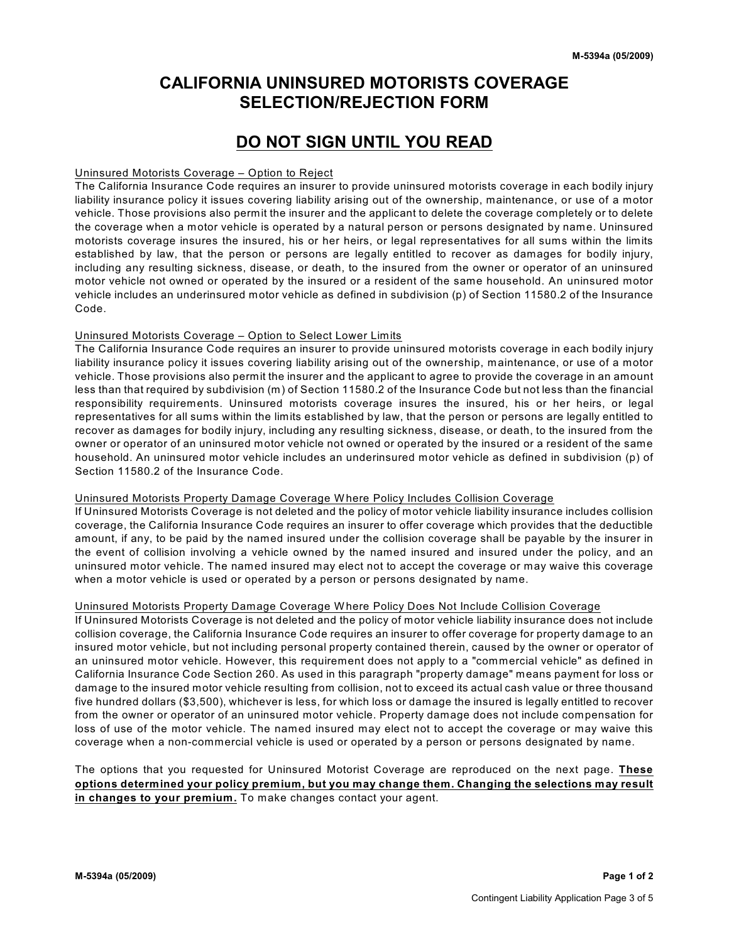# **CALIFORNIA UNINSURED MOTORISTS COVERAGE SELECTION/REJECTION FORM**

## **DO NOT SIGN UNTIL YOU READ**

### Uninsured Motorists Coverage – Option to Reject

The California Insurance Code requires an insurer to provide uninsured motorists coverage in each bodily injury liability insurance policy it issues covering liability arising out of the ownership, maintenance, or use of a motor vehicle. Those provisions also permit the insurer and the applicant to delete the coverage completely or to delete the coverage when a motor vehicle is operated by a natural person or persons designated by name. Uninsured motorists coverage insures the insured, his or her heirs, or legal representatives for all sums within the limits established by law, that the person or persons are legally entitled to recover as damages for bodily injury, including any resulting sickness, disease, or death, to the insured from the owner or operator of an uninsured motor vehicle not owned or operated by the insured or a resident of the same household. An uninsured motor vehicle includes an underinsured motor vehicle as defined in subdivision (p) of Section 11580.2 of the Insurance Code.

### Uninsured Motorists Coverage – Option to Select Lower Limits

The California Insurance Code requires an insurer to provide uninsured motorists coverage in each bodily injury liability insurance policy it issues covering liability arising out of the ownership, maintenance, or use of a motor vehicle. Those provisions also permit the insurer and the applicant to agree to provide the coverage in an amount less than that required by subdivision (m) of Section 11580.2 of the Insurance Code but not less than the financial responsibility requirements. Uninsured motorists coverage insures the insured, his or her heirs, or legal representatives for all sums within the limits established by law, that the person or persons are legally entitled to recover as damages for bodily injury, including any resulting sickness, disease, or death, to the insured from the owner or operator of an uninsured motor vehicle not owned or operated by the insured or a resident of the same household. An uninsured motor vehicle includes an underinsured motor vehicle as defined in subdivision (p) of Section 11580.2 of the Insurance Code.

### Uninsured Motorists Property Damage Coverage W here Policy Includes Collision Coverage

If Uninsured Motorists Coverage is not deleted and the policy of motor vehicle liability insurance includes collision coverage, the California Insurance Code requires an insurer to offer coverage which provides that the deductible amount, if any, to be paid by the named insured under the collision coverage shall be payable by the insurer in the event of collision involving a vehicle owned by the named insured and insured under the policy, and an uninsured motor vehicle. The named insured may elect not to accept the coverage or may waive this coverage when a motor vehicle is used or operated by a person or persons designated by name.

### Uninsured Motorists Property Damage Coverage W here Policy Does Not Include Collision Coverage

If Uninsured Motorists Coverage is not deleted and the policy of motor vehicle liability insurance does not include collision coverage, the California Insurance Code requires an insurer to offer coverage for property damage to an insured motor vehicle, but not including personal property contained therein, caused by the owner or operator of an uninsured motor vehicle. However, this requirement does not apply to a "commercial vehicle" as defined in California Insurance Code Section 260. As used in this paragraph "property damage" means payment for loss or damage to the insured motor vehicle resulting from collision, not to exceed its actual cash value or three thousand five hundred dollars (\$3,500), whichever is less, for which loss or damage the insured is legally entitled to recover from the owner or operator of an uninsured motor vehicle. Property damage does not include compensation for loss of use of the motor vehicle. The named insured may elect not to accept the coverage or may waive this coverage when a non-commercial vehicle is used or operated by a person or persons designated by name.

The options that you requested for Uninsured Motorist Coverage are reproduced on the next page. **These options determined your policy premium, but you may change them. Changing the selections may result in changes to your premium.** To make changes contact your agent.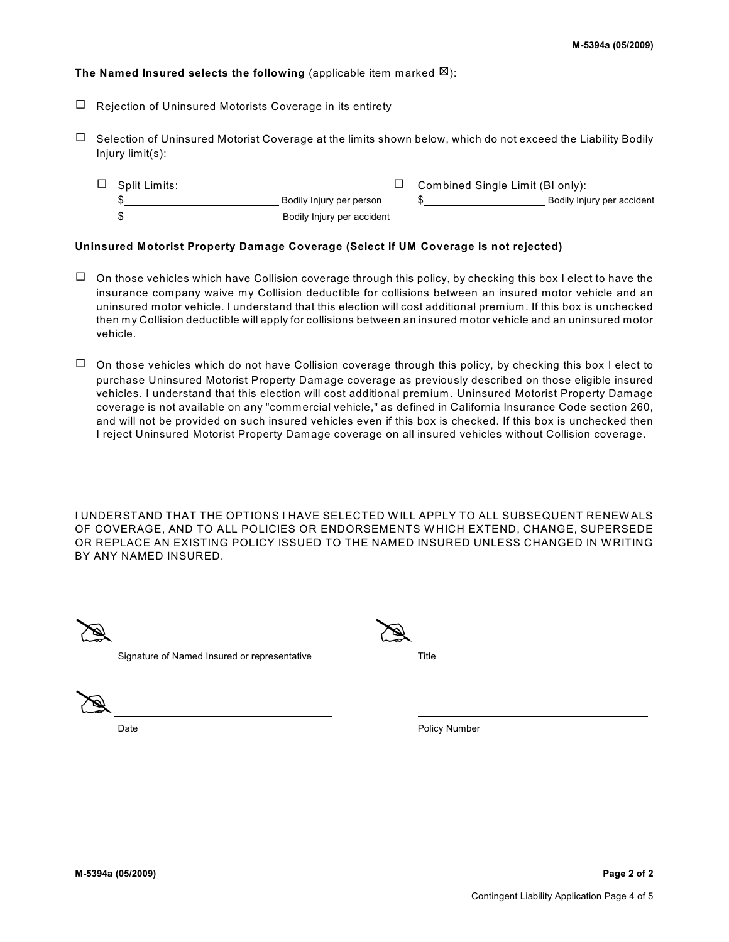### **The Named Insured selects the following** (applicable item marked  $\boxtimes$ ):

- $\Box$  Rejection of Uninsured Motorists Coverage in its entirety
- $\Box$  Selection of Uninsured Motorist Coverage at the limits shown below, which do not exceed the Liability Bodily Injury limit(s):
	- $\Box$  Split Limits:  $\Box$  Combined Single Limit (BI only): Bodily Injury per person  $\$\$ \$ Bodily Injury per accident

### **Uninsured Motorist Property Damage Coverage (Select if UM Coverage is not rejected)**

- $\Box$  On those vehicles which have Collision coverage through this policy, by checking this box I elect to have the insurance company waive my Collision deductible for collisions between an insured motor vehicle and an uninsured motor vehicle. I understand that this election will cost additional premium. If this box is unchecked then my Collision deductible will apply for collisions between an insured motor vehicle and an uninsured motor vehicle.
- $\Box$  On those vehicles which do not have Collision coverage through this policy, by checking this box I elect to purchase Uninsured Motorist Property Damage coverage as previously described on those eligible insured vehicles. I understand that this election will cost additional premium. Uninsured Motorist Property Damage coverage is not available on any "commercial vehicle," as defined in California Insurance Code section 260, and will not be provided on such insured vehicles even if this box is checked. If this box is unchecked then I reject Uninsured Motorist Property Damage coverage on all insured vehicles without Collision coverage.

I UNDERSTAND THAT THE OPTIONS I HAVE SELECTED W ILL APPLY TO ALL SUBSEQUENT RENEW ALS OF COVERAGE, AND TO ALL POLICIES OR ENDORSEMENTS W HICH EXTEND, CHANGE, SUPERSEDE OR REPLACE AN EXISTING POLICY ISSUED TO THE NAMED INSURED UNLESS CHANGED IN WRITING BY ANY NAMED INSURED.

| $\bullet$<br>v<br>$\sim$ $\sim$<br>حصا | $\overline{\phantom{a}}$<br>$-$ |
|----------------------------------------|---------------------------------|
|                                        |                                 |

Signature of Named Insured or representative Title

@

Date **Date Policy Number Policy Number Policy Number**